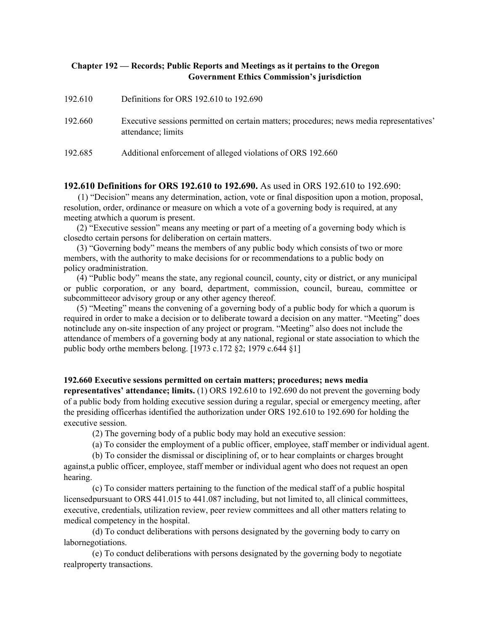## **Chapter 192 — Records; Public Reports and Meetings as it pertains to the Oregon Government Ethics Commission's jurisdiction**

| 192.610 | Definitions for ORS 192.610 to 192.690                                                                         |
|---------|----------------------------------------------------------------------------------------------------------------|
| 192.660 | Executive sessions permitted on certain matters; procedures; news media representatives'<br>attendance; limits |
| 192.685 | Additional enforcement of alleged violations of ORS 192.660                                                    |

## **192.610 Definitions for ORS 192.610 to 192.690.** As used in ORS 192.610 to 192.690:

(1) "Decision" means any determination, action, vote or final disposition upon a motion, proposal, resolution, order, ordinance or measure on which a vote of a governing body is required, at any meeting atwhich a quorum is present.

(2) "Executive session" means any meeting or part of a meeting of a governing body which is closedto certain persons for deliberation on certain matters.

(3) "Governing body" means the members of any public body which consists of two or more members, with the authority to make decisions for or recommendations to a public body on policy oradministration.

(4) "Public body" means the state, any regional council, county, city or district, or any municipal or public corporation, or any board, department, commission, council, bureau, committee or subcommitteeor advisory group or any other agency thereof.

(5) "Meeting" means the convening of a governing body of a public body for which a quorum is required in order to make a decision or to deliberate toward a decision on any matter. "Meeting" does notinclude any on-site inspection of any project or program. "Meeting" also does not include the attendance of members of a governing body at any national, regional or state association to which the public body orthe members belong. [1973 c.172 §2; 1979 c.644 §1]

## **192.660 Executive sessions permitted on certain matters; procedures; news media**

**representatives' attendance; limits.** (1) ORS 192.610 to 192.690 do not prevent the governing body of a public body from holding executive session during a regular, special or emergency meeting, after the presiding officerhas identified the authorization under ORS 192.610 to 192.690 for holding the executive session.

(2) The governing body of a public body may hold an executive session:

(a) To consider the employment of a public officer, employee, staff member or individual agent.

(b) To consider the dismissal or disciplining of, or to hear complaints or charges brought against,a public officer, employee, staff member or individual agent who does not request an open hearing.

(c) To consider matters pertaining to the function of the medical staff of a public hospital licensedpursuant to ORS 441.015 to 441.087 including, but not limited to, all clinical committees, executive, credentials, utilization review, peer review committees and all other matters relating to medical competency in the hospital.

(d) To conduct deliberations with persons designated by the governing body to carry on labornegotiations.

(e) To conduct deliberations with persons designated by the governing body to negotiate realproperty transactions.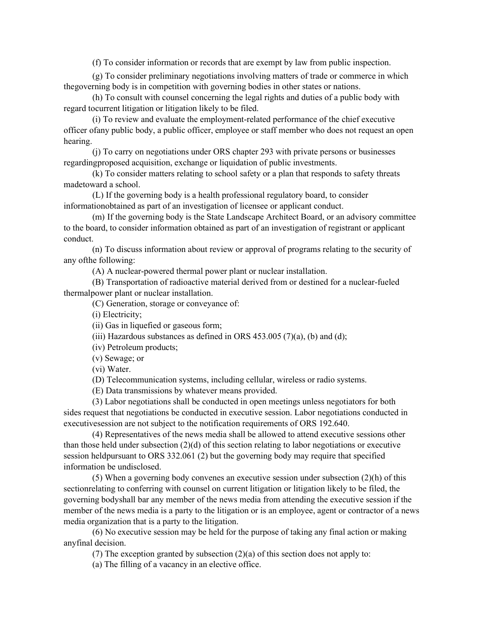(f) To consider information or records that are exempt by law from public inspection.

(g) To consider preliminary negotiations involving matters of trade or commerce in which thegoverning body is in competition with governing bodies in other states or nations.

(h) To consult with counsel concerning the legal rights and duties of a public body with regard tocurrent litigation or litigation likely to be filed.

(i) To review and evaluate the employment-related performance of the chief executive officer ofany public body, a public officer, employee or staff member who does not request an open hearing.

(j) To carry on negotiations under ORS chapter 293 with private persons or businesses regardingproposed acquisition, exchange or liquidation of public investments.

(k) To consider matters relating to school safety or a plan that responds to safety threats madetoward a school.

(L) If the governing body is a health professional regulatory board, to consider informationobtained as part of an investigation of licensee or applicant conduct.

(m) If the governing body is the State Landscape Architect Board, or an advisory committee to the board, to consider information obtained as part of an investigation of registrant or applicant conduct.

(n) To discuss information about review or approval of programs relating to the security of any ofthe following:

(A) A nuclear-powered thermal power plant or nuclear installation.

(B) Transportation of radioactive material derived from or destined for a nuclear-fueled thermalpower plant or nuclear installation.

(C) Generation, storage or conveyance of:

(i) Electricity;

(ii) Gas in liquefied or gaseous form;

(iii) Hazardous substances as defined in ORS  $453.005$  (7)(a), (b) and (d);

(iv) Petroleum products;

(v) Sewage; or

(vi) Water.

(D) Telecommunication systems, including cellular, wireless or radio systems.

(E) Data transmissions by whatever means provided.

(3) Labor negotiations shall be conducted in open meetings unless negotiators for both sides request that negotiations be conducted in executive session. Labor negotiations conducted in executivesession are not subject to the notification requirements of ORS 192.640.

(4) Representatives of the news media shall be allowed to attend executive sessions other than those held under subsection (2)(d) of this section relating to labor negotiations or executive session heldpursuant to ORS 332.061 (2) but the governing body may require that specified information be undisclosed.

(5) When a governing body convenes an executive session under subsection (2)(h) of this sectionrelating to conferring with counsel on current litigation or litigation likely to be filed, the governing bodyshall bar any member of the news media from attending the executive session if the member of the news media is a party to the litigation or is an employee, agent or contractor of a news media organization that is a party to the litigation.

(6) No executive session may be held for the purpose of taking any final action or making anyfinal decision.

(7) The exception granted by subsection  $(2)(a)$  of this section does not apply to:

(a) The filling of a vacancy in an elective office.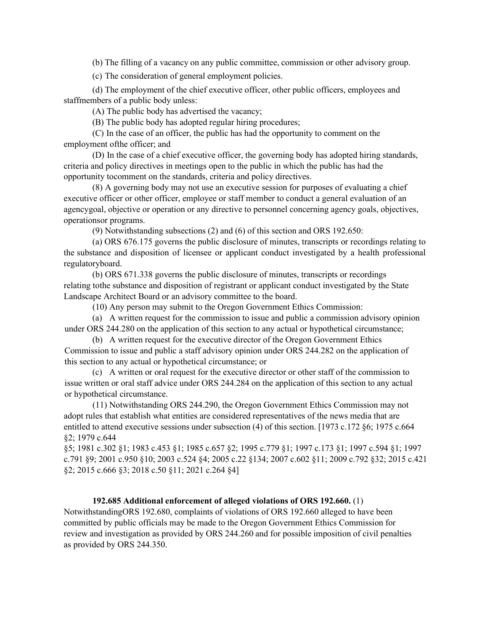(b) The filling of a vacancy on any public committee, commission or other advisory group.

(c) The consideration of general employment policies.

(d) The employment of the chief executive officer, other public officers, employees and staffmembers of a public body unless:

(A) The public body has advertised the vacancy;

(B) The public body has adopted regular hiring procedures;

(C) In the case of an officer, the public has had the opportunity to comment on the employment ofthe officer; and

(D) In the case of a chief executive officer, the governing body has adopted hiring standards, criteria and policy directives in meetings open to the public in which the public has had the opportunity tocomment on the standards, criteria and policy directives.

(8) A governing body may not use an executive session for purposes of evaluating a chief executive officer or other officer, employee or staff member to conduct a general evaluation of an agencygoal, objective or operation or any directive to personnel concerning agency goals, objectives, operationsor programs.

(9) Notwithstanding subsections (2) and (6) of this section and ORS 192.650:

(a) ORS 676.175 governs the public disclosure of minutes, transcripts or recordings relating to the substance and disposition of licensee or applicant conduct investigated by a health professional regulatoryboard.

(b) ORS 671.338 governs the public disclosure of minutes, transcripts or recordings relating tothe substance and disposition of registrant or applicant conduct investigated by the State Landscape Architect Board or an advisory committee to the board.

(10) Any person may submit to the Oregon Government Ethics Commission:

(a) A written request for the commission to issue and public a commission advisory opinion under ORS 244.280 on the application of this section to any actual or hypothetical circumstance;

(b) A written request for the executive director of the Oregon Government Ethics Commission to issue and public a staff advisory opinion under ORS 244.282 on the application of this section to any actual or hypothetical circumstance; or

(c) A written or oral request for the executive director or other staff of the commission to issue written or oral staff advice under ORS 244.284 on the application of this section to any actual or hypothetical circumstance.

(11) Notwithstanding ORS 244.290, the Oregon Government Ethics Commission may not adopt rules that establish what entities are considered representatives of the news media that are entitled to attend executive sessions under subsection (4) of this section. [1973 c.172 §6; 1975 c.664 §2; 1979 c.644

§5; 1981 c.302 §1; 1983 c.453 §1; 1985 c.657 §2; 1995 c.779 §1; 1997 c.173 §1; 1997 c.594 §1; 1997 c.791 §9; 2001 c.950 §10; 2003 c.524 §4; 2005 c.22 §134; 2007 c.602 §11; 2009 c.792 §32; 2015 c.421 §2; 2015 c.666 §3; 2018 c.50 §11; 2021 c.264 §4]

## **192.685 Additional enforcement of alleged violations of ORS 192.660.** (1)

NotwithstandingORS 192.680, complaints of violations of ORS 192.660 alleged to have been committed by public officials may be made to the Oregon Government Ethics Commission for review and investigation as provided by ORS 244.260 and for possible imposition of civil penalties as provided by ORS 244.350.